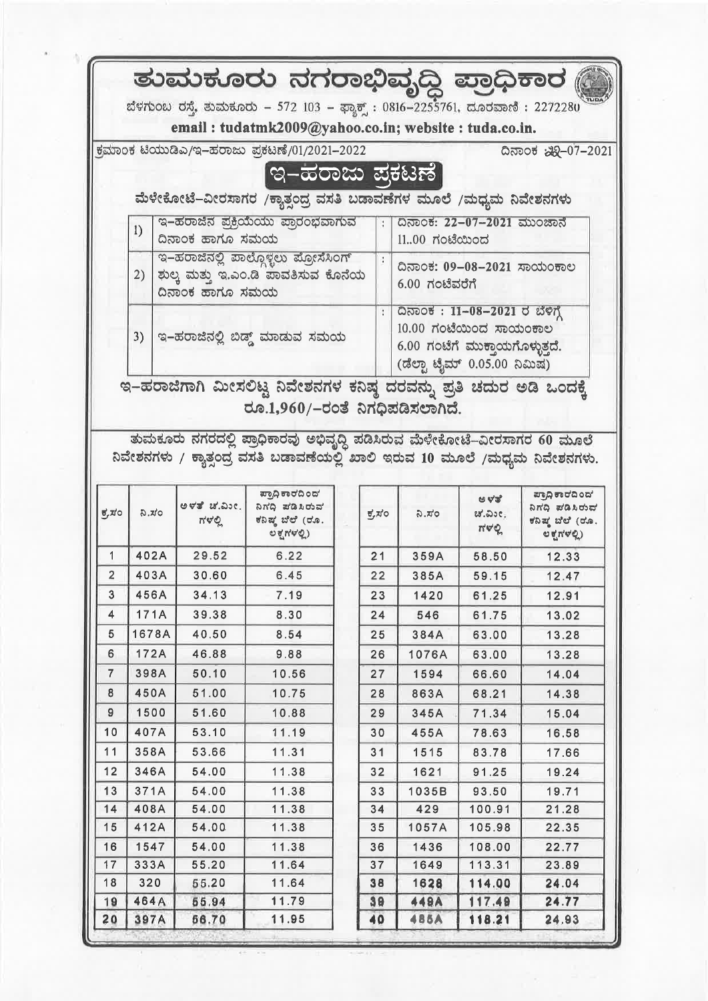|                                                                               |       |                                                                   |  | ತುಮಕೂರು ನಗರಾಭಿವೃದ್ಧಿ ಪ್ರಾಧಿಕಾರ (                                    |  |                      |                                             |                                 |                                                       |  |
|-------------------------------------------------------------------------------|-------|-------------------------------------------------------------------|--|---------------------------------------------------------------------|--|----------------------|---------------------------------------------|---------------------------------|-------------------------------------------------------|--|
| ಬೆಳಗುಂಬ ರಸ್ತೆ, ತುಮಕೂರು – 572 103 – ಫ್ಯಾಕ್ಟ್ : 0816–2255761, ದೂರವಾಣಿ : 2272280 |       |                                                                   |  |                                                                     |  |                      |                                             |                                 |                                                       |  |
|                                                                               |       |                                                                   |  | email: tudatmk2009@yahoo.co.in; website: tuda.co.in.                |  |                      |                                             |                                 |                                                       |  |
|                                                                               |       |                                                                   |  | ಕ್ರಮಾಂಕ ಟಿಯುಡಿಎ/ಇ-ಹರಾಜು ಪ್ರಕಟಣೆ/01/2021-2022                        |  |                      |                                             |                                 | ದಿನಾಂಕ ಏನಿ-07-2021                                    |  |
|                                                                               |       |                                                                   |  | <u>ಇ–ಹರಾಜು ಪಕಟಣೆ</u>                                                |  |                      |                                             |                                 |                                                       |  |
|                                                                               |       |                                                                   |  |                                                                     |  |                      |                                             |                                 |                                                       |  |
|                                                                               |       | ಮೆಳೇಕೋಟೆ–ವೀರಸಾಗರ /ಕ್ಯಾತ್ಪಂದ್ರ ವಸತಿ ಬಡಾವಣೆಗಳ ಮೂಲೆ /ಮಧ್ಯಮ ನಿವೇಶನಗಳು |  |                                                                     |  |                      |                                             |                                 |                                                       |  |
|                                                                               | 1)    | ದಿನಾಂಕ ಹಾಗೂ ಸಮಯ                                                   |  | ಇ–ಹರಾಜಿನ ಪ್ರಕ್ರಿಯೆಯು ಪ್ರಾರಂಭವಾಗುವ                                   |  | H.                   | ದಿನಾಂಕ: 22-07-2021 ಮುಂಜಾನೆ<br>1100 ಗಂಟೆಯಿಂದ |                                 |                                                       |  |
|                                                                               |       |                                                                   |  | ಇ–ಹರಾಜಿನಲ್ಲಿ ಪಾಲ್ಗೊಳ್ಳಲು ಪ್ರೋಸೆಸಿಂಗ್                                |  |                      |                                             |                                 |                                                       |  |
|                                                                               |       |                                                                   |  | 2)   ಶುಲ್ಕ ಮತ್ತು ಇ.ಎಂ.ಡಿ ಪಾವತಿಸುವ ಕೊನೆಯ                             |  |                      |                                             | ದಿನಾಂಕ: 09-08-2021 ಸಾಯಂಕಾಲ      |                                                       |  |
|                                                                               |       | ದಿನಾಂಕ ಹಾಗೂ ಸಮಯ                                                   |  |                                                                     |  |                      | $6.00$ ಗಂಟೆವರೆಗೆ                            |                                 |                                                       |  |
|                                                                               |       |                                                                   |  |                                                                     |  | $\ddot{\phantom{a}}$ | ದಿನಾಂಕ: 11-08-2021 ರ ಬೆಳಿಗ್ಗೆ               |                                 |                                                       |  |
|                                                                               |       |                                                                   |  | 3)   ಇ-ಹರಾಜಿನಲ್ಲಿ ಬಿಡ್ಡ್ ಮಾಡುವ ಸಮಯ                                  |  |                      | $10.00$ ಗಂಟೆಯಿಂದ ಸಾಯಂಕಾಲ                    |                                 |                                                       |  |
|                                                                               |       |                                                                   |  |                                                                     |  |                      |                                             | 6.00 ಗಂಟೆಗೆ ಮುಕ್ತಾಯಗೊಳ್ಳುತ್ತದೆ. |                                                       |  |
|                                                                               |       |                                                                   |  |                                                                     |  |                      | (ಡೆಲ್ಟಾ ಟೈಮ್ 0.05.00 ನಿಮಿಷ)                 |                                 |                                                       |  |
|                                                                               |       |                                                                   |  | ಇ–ಹರಾಜಿಗಾಗಿ ಮೀಸಲಿಟ್ಟ ನಿವೇಶನಗಳ ಕನಿಷ್ಠ ದರವನ್ನು ಪ್ರತಿ ಚದುರ ಅಡಿ ಒಂದಕ್ಕೆ |  |                      |                                             |                                 |                                                       |  |
|                                                                               |       |                                                                   |  | ರೂ.1,960/–ರಂತೆ ನಿಗಧಿಪಡಿಸಲಾಗಿದೆ.                                     |  |                      |                                             |                                 |                                                       |  |
|                                                                               |       |                                                                   |  |                                                                     |  |                      |                                             |                                 |                                                       |  |
|                                                                               |       |                                                                   |  |                                                                     |  |                      |                                             |                                 |                                                       |  |
| $\overrightarrow{v}$ , $\overrightarrow{v}$                                   | ನಿ.ಸಂ | ಅಳತೆ ಚ.ಎಂ. l<br>ಗಳಲ್ಲಿ                                            |  | ಪ್ರಾಧಿ ಕಾರದಿಂದ'<br>ನಿಗದಿ ಪಡಿಸಿರುವ<br>ಕನಿಷ್ಠ ಬೆಲೆ (ರೂ.               |  | ಕ್ರಸಂ                | ನಿ.ಸಂ                                       | ಅಳತೆ'<br>ಚಿ.ವಿ೨೮;               | ಪ್ರಾಧಿ ಕಾರದಿಂದ'<br>ನಿಗದಿ ಪಡಿಸಿರುವ<br>ಕನಿಷ್ಠ ಬೆಲೆ (ರೂ. |  |
|                                                                               |       |                                                                   |  | ಲಕ್ಷಗಳಲ್ಲಿ)                                                         |  |                      |                                             | ಗಳಲ್ಲಿ                          | O(NQ)                                                 |  |
| 1                                                                             | 402A  | 29.52                                                             |  | 6.22                                                                |  | 21                   | 359A                                        | 58.50                           | 12.33                                                 |  |
| $\overline{2}$                                                                | 403A  | 30.60                                                             |  | 6.45                                                                |  | 22                   | 385A                                        | 59.15                           | 12.47                                                 |  |
| 3                                                                             | 456A  | 34.13                                                             |  | 7.19                                                                |  | 23                   | 1420                                        | 61.25                           | 12.91                                                 |  |
| 4                                                                             | 171A  | 39.38                                                             |  | 8.30                                                                |  | 24                   | 546                                         | 61.75                           | 13.02                                                 |  |
| 5                                                                             | 1678A | 40.50                                                             |  | 8.54                                                                |  | 25                   | 384A                                        | 63.00                           | 13.28                                                 |  |
| 6                                                                             | 172A  | 46.88                                                             |  | 9.88                                                                |  | 26                   | 1076A                                       | 63.00                           | 13.28                                                 |  |
| 7                                                                             | 398A  | 50.10                                                             |  | 10.56                                                               |  | 27                   | 1594                                        | 66.60                           | 14.04                                                 |  |
| 8                                                                             | 450A  | 51.00                                                             |  | 10.75                                                               |  | 28                   | 863A                                        | 68.21                           | 14.38                                                 |  |
| 9                                                                             | 1500  | 51.60                                                             |  | 10.88                                                               |  | 29                   | 345A                                        | 71.34                           | 15.04                                                 |  |
| 10                                                                            | 407A  | 53.10                                                             |  | 11.19                                                               |  | 30                   | 455A                                        | 78.63                           | 16.58                                                 |  |
| 11                                                                            | 358A  | 53.66                                                             |  | 11.31                                                               |  | 31                   | 1515                                        | 83.78                           | 17.66                                                 |  |
| 12                                                                            | 346A  | 54.00                                                             |  | 11.38                                                               |  | 32                   | 1621                                        | 91.25                           | 19.24                                                 |  |
| 13                                                                            | 371A  | 54.00                                                             |  | 11.38                                                               |  | 33                   | 1035B                                       | 93.50                           | 19.71                                                 |  |
| 14                                                                            | 408A  | 54.00                                                             |  | 11.38                                                               |  | 34                   | 429                                         | 100.91                          | 21.28                                                 |  |
| 15                                                                            | 412A  | 54.00                                                             |  | 11.38                                                               |  | 35                   | 1057A                                       | 105.98                          | 22.35                                                 |  |
| 16                                                                            | 1547  | 54.00                                                             |  | 11.38                                                               |  | 36                   | 1436                                        | 108.00                          | 22.77                                                 |  |
| 17                                                                            | 333A  | 55.20                                                             |  | 11.64                                                               |  | 37                   | 1649                                        | 113.31                          | 23.89                                                 |  |
| 18                                                                            | 320   | 55.20                                                             |  | 11.64                                                               |  | 38                   | 1628                                        | 114.00                          | 24.04                                                 |  |
| 19                                                                            | 464A  | 55.94                                                             |  | 11.79                                                               |  | 39                   | <b>449A</b>                                 | 117.49                          | 24.77                                                 |  |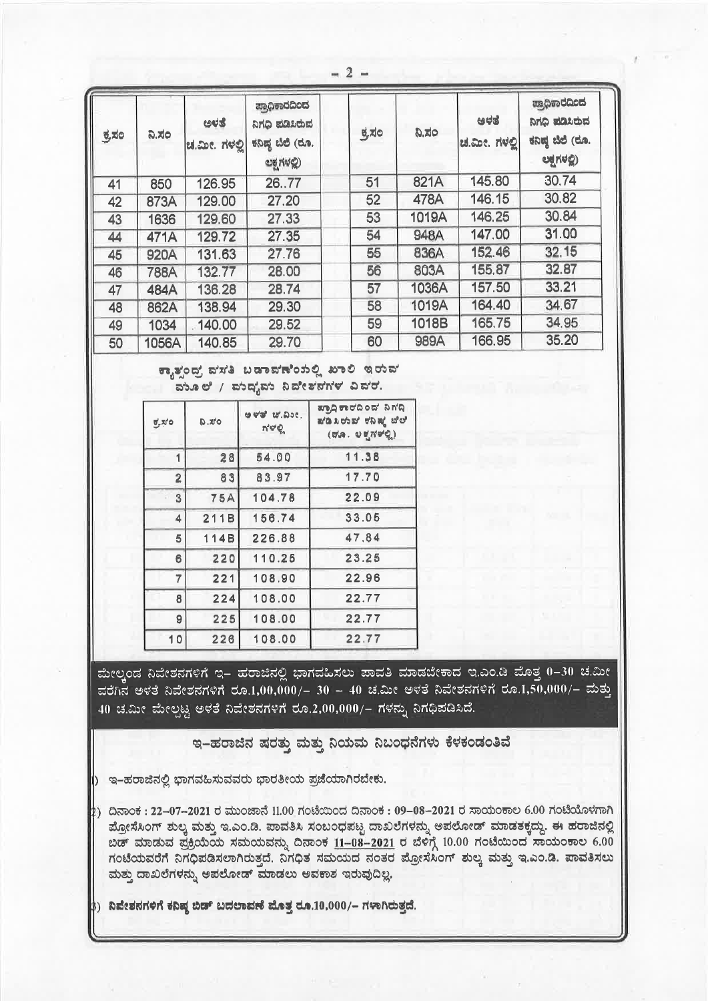| ಕ್ರಸಂ | ನಿ.ಸಂ       | ಅಳತೆ<br>ಚ.ಮೀ. ಗಳಲ್ಲಿ | ಪ್ರಾಧಿಕಾರದಿಂದ<br>ನಿಗಧಿ ಪಡಿಸಿರುವ<br>ಕನಿಷ್ಠ ಬೆಲೆ (ರೂ.<br>ಲಕ್ಷಗಳಲ್ಲಿ) | ಕ್ರಸಂ | D.R.G | ಅಳತೆ<br>ಚ.ಮೀ. ಗಳಲ್ಲಿ | ಪ್ರಾಧಿಕಾರದಿಂದ<br>ನಿಗಧಿ ಪಡಿಸಿರುವ<br>ಕನಿಷ್ಠ ಬೆಲೆ (ರೂ.<br>odreg) |
|-------|-------------|----------------------|--------------------------------------------------------------------|-------|-------|----------------------|---------------------------------------------------------------|
| 41    | 850         | 126.95               | 2677                                                               | 51    | 821A  | 145.80               | 30.74                                                         |
| 42    | 873A        | 129.00               | 27.20                                                              | 52    | 478A  | 146.15               | 30.82                                                         |
| 43    | 1636        | 129.60               | 27.33                                                              | 53    | 1019A | 146,25               | 30.84                                                         |
| 44    | 471A        | 129.72               | 27.35                                                              | 54    | 948A  | 147.00               | 31.00                                                         |
| 45    | 920A        | 131.63               | 27.76                                                              | 55    | 836A  | 152.46               | 32.15                                                         |
| 46    | <b>788A</b> | 132.77               | 28.00                                                              | 56    | 803A  | 155.87               | 32.87                                                         |
| 47    | 484A        | 136.28               | 28.74                                                              | 57    | 1036A | 157.50               | 33.21                                                         |
| 48    | 862A        | 138.94               | 29.30                                                              | 58    | 1019A | 164.40               | 34.67                                                         |
| 49    | 1034        | 140.00               | 29.52                                                              | 59    | 1018B | 165.75               | 34.95                                                         |
| 50    | 1056A       | 140.85               | 29.70                                                              | 60    | 989A  | 166.95               | 35.20                                                         |

 $\overline{2}$ 

ಕ್ಕಾತ್ತಂದ್ರ ವಸತಿ ಬಡಾವಣೆಂಸಲ್ಲಿ ಖಾಲಿ ಇರುವ ಮೂಲೆ / ಮಂದೃಮ ನಿವೇಶನಗಳ ವಿವರ.

| ಕ್ರಸಂ          | Ou.a       | $W = W$<br>$\pi \nabla \phi$ | ಪ್ರಾಧಿ ಕಾರದಿಂದ' ನಿಗ'ದಿ<br>ಪಡಿಸಿರುವ ಕನಿಷ್ಠ ಬೆಲೆ<br>$(\phi \wedge \phi \wedge \phi \wedge \phi \wedge \phi)$ |
|----------------|------------|------------------------------|------------------------------------------------------------------------------------------------------------|
|                | 28         | 54.00                        | 11.38                                                                                                      |
| $\overline{a}$ | 83         | 83.97                        | 17.70                                                                                                      |
| $\overline{3}$ | <b>75A</b> | 104.78                       | 22.09                                                                                                      |
| 4              | 211B       | 156.74                       | 33.05                                                                                                      |
| 5              | 114B       | 226.88                       | 47.84                                                                                                      |
| 6              | 220        | 110.25                       | 23.25                                                                                                      |
| $\overline{7}$ | 221        | 108.90                       | 22.96                                                                                                      |
| 8              | 224        | 108.00                       | 22.77                                                                                                      |
| 9              | 225        | 108.00                       | 22.77                                                                                                      |
| 10             | 226        | 108.00                       | 22.77                                                                                                      |

ಮೇಲ್ಗಂಡ ನಿವೇಶನಗಳಿಗೆ ಇ– ಹರಾಜಿನಲ್ಲಿ ಭಾಗವಹಿಸಲು ಪಾವತಿ ಮಾಡಬೇಕಾದ ಇ.ಎಂ.ಡಿ ಮೊತ್ತ 0–30 ಚ.ಮೀ ವರೆಗಿನ ಅಳತೆ ನಿವೇಶನಗಳಿಗೆ ರೂ.1,00,000/– 30 – 40 ಚ.ಮೀ ಅಳತೆ ನಿವೇಶನಗಳಿಗೆ ರೂ.1,50,000/– ಮತ್ತು 40 ಚ.ಮೀ ಮೇಲ್ಪಟ್ಟ ಅಳತೆ ನಿವೇಶನಗಳಿಗೆ ರೂ.2,00,000/– ಗಳನ್ನು ನಿಗಧಿಪಡಿಸಿದೆ.

ಇ–ಹರಾಜಿನ ಷರತ್ತು ಮತ್ತು ನಿಯಮ ನಿಬಂಧನೆಗಳು ಕೆಳಕಂಡಂತಿವೆ

) ಇ–ಹರಾಜಿನಲ್ಲಿ ಭಾಗವಹಿಸುವವರು ಭಾರತೀಯ ಪ್ರಜೆಯಾಗಿರಬೇಕು.

<u>)</u> ದಿನಾಂಕ : 22–07–2021 ರ ಮುಂಜಾನೆ 11.00 ಗಂಟೆಯಿಂದ ದಿನಾಂಕ : 09–08–2021 ರ ಸಾಯಂಕಾಲ 6.00 ಗಂಟೆಯೊಳಗಾಗಿ ಮ್ರೋಸೆಸಿಂಗ್ ಶುಲ್ಕ ಮತ್ತು ಇ.ಎಂ.ಡಿ. ಪಾವತಿಸಿ ಸಂಬಂಧಪಟ್ಟ ದಾಖಲೆಗಳನ್ನು ಅಪಲೋಡ್ ಮಾಡತಕ್ಕದ್ದು. ಈ ಹರಾಜಿನಲ್ಲಿ ಬಿಡ್ ಮಾಡುವ ಪ್ರಕ್ರಿಯೆಯ ಸಮಯವನ್ನು ದಿನಾಂಕ 11-08-2021 ರ ಬೆಳಿಗ್ಗೆ 10.00 ಗಂಟೆಯಿಂದ ಸಾಯಂಕಾಲ 6.00 ಗಂಟೆಯವರೆಗೆ ನಿಗಧಿಪಡಿಸಲಾಗಿರುತ್ತದೆ. ನಿಗಧಿತ ಸಮಯದ ನಂತರ ಪ್ರೋಸೆಸಿಂಗ್ ಶುಲ್ಕ ಮತ್ತು ಇ.ಎಂ.ಡಿ. ಪಾವತಿಸಲು ಮತ್ತು ದಾಖಲೆಗಳನ್ನು ಅಪಲೋಡ್ ಮಾಡಲು ಅವಕಾಶ ಇರುವುದಿಲ್ಲ.

) ನಿವೇಶನಗಳಿಗೆ ಕನಿಷ್ಠ ಬಿಡ್ ಬದಲಾವಣೆ ಮೊತ್ತ ರೂ.10,000/– ಗಳಾಗಿರುತ್ತದೆ.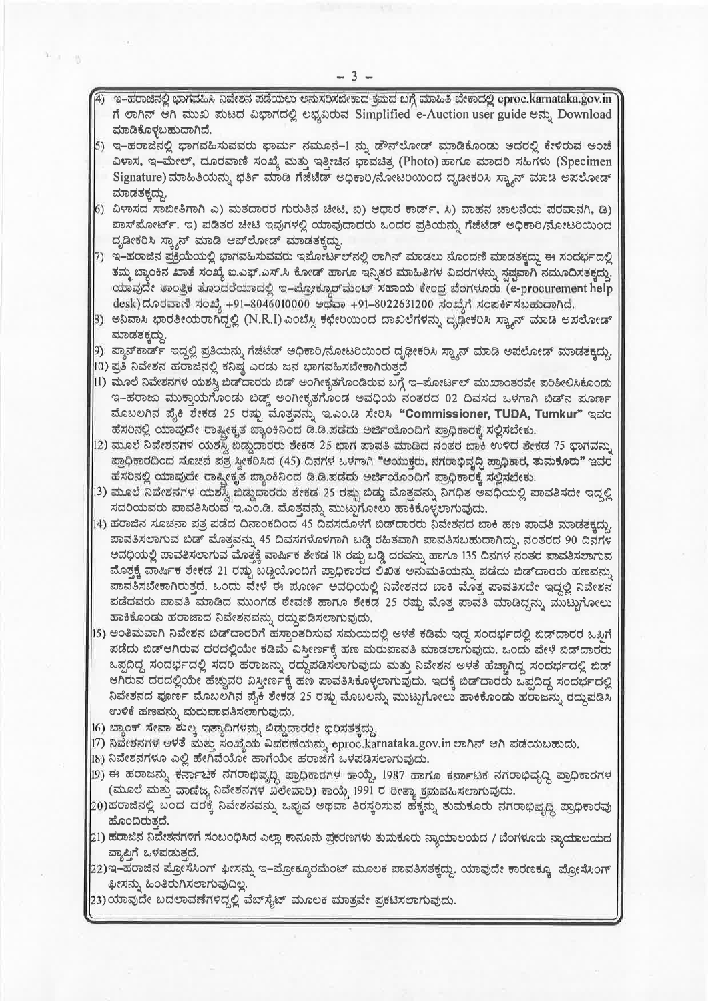- 4) ಇ–ಹರಾಜಿನಲ್ಲಿ ಭಾಗವಹಿಸಿ ನಿವೇಶನ ಪಡೆಯಲು ಅನುಸರಿಸಬೇಕಾದ ಕಮದ ಬಗ್ಗೆ ಮಾಹಿತಿ ಬೇಕಾದಲ್ಲಿ eproc.karnataka.gov.in ಗೆ ಲಾಗಿನ್ ಆಗಿ ಮುಖ ಮಟದ ವಿಭಾಗದಲ್ಲಿ ಲಭ್ಯವಿರುವ Simplified e-Auction user guide ಅನ್ನು Download ಮಾಡಿಕೊಳ್ಳಬಹುದಾಗಿದೆ.
- 5) ಇ–ಹರಾಜಿನಲ್ಲಿ ಭಾಗವಹಿಸುವವರು ಫಾರ್ಮ ನಮೂನೆ–1 ನ್ನು ಡೌನ್ಲೋಡ್ ಮಾಡಿಕೊಂಡು ಅದರಲ್ಲಿ ಕೇಳಿರುವ ಅಂಚೆ ವಿಳಾಸ, ಇ–ಮೇಲ್, ದೂರವಾಣಿ ಸಂಖ್ಯೆ ಮತ್ತು ಇತ್ತೀಚಿನ ಭಾವಚಿತ್ರ (Photo) ಹಾಗೂ ಮಾದರಿ ಸಹಿಗಳು (Specimen Signature) ಮಾಹಿತಿಯನ್ನು ಭರ್ತಿ ಮಾಡಿ ಗೆಜೆಟೆಡ್ ಅಧಿಕಾರಿ/ನೋಟರಿಯಿಂದ ದೃಡೀಕರಿಸಿ ಸ್ತ್ಯಾನ್ ಮಾಡಿ ಅಪಲೋಡ್ ಮಾಡತಕ್ಕದ್ದು.
- $\left(6\right)$  ವಿಳಾಸದ ಸಾಬೀತಿಗಾಗಿ ಎ) ಮತದಾರರ ಗುರುತಿನ ಚೀಟಿ, ಬಿ) ಆಧಾರ ಕಾರ್ಡ್, ಸಿ) ವಾಹನ ಚಾಲನೆಯ ಪರವಾನಗಿ, ಡಿ) ಪಾಸ್ ಮೋರ್ಟ್. ಇ) ಪಡಿತರ ಚೀಟಿ ಇವುಗಳಲ್ಲಿ ಯಾವುದಾದರು ಒಂದರ ಪ್ರತಿಯನ್ನು ಗೆಜೆಟೆಡ್ ಅಧಿಕಾರಿ/ನೋಟರಿಯಿಂದ ದೃಡೀಕರಿಸಿ ಸ್ಕ್ಯಾನ್ ಮಾಡಿ ಆಪ್ ಲೋಡ್ ಮಾಡತಕ್ಕದ್ದು.
- 7) ಇ–ಹರಾಜಿನ ಪ್ರಕ್ರಿಯೆಯಲ್ಲಿ ಭಾಗವಹಿಸುವವರು ಇಪೋರ್ಟಲ್ನಲ್ಲಿ ಲಾಗಿನ್ ಮಾಡಲು ನೊಂದಣಿ ಮಾಡತಕ್ಕದ್ದು ಈ ಸಂದರ್ಭದಲ್ಲಿ ತಮ್ಮ ಬ್ಯಾಂಕಿನ ಖಾತೆ ಸಂಖ್ಯೆ ಐ.ಎಫ್.ಎಸ್.ಸಿ ಕೋಡ್ ಹಾಗೂ ಇನ್ನಿತರ ಮಾಹಿತಿಗಳ ವಿವರಗಳನ್ನು ಸ್ಪಷ್ಟವಾಗಿ ನಮೂದಿಸತಕ್ಕದ್ದು. ಯಾವುದೇ ತಾಂತ್ರಿಕ ತೊಂದರೆಯಾದಲ್ಲಿ ಇ–ಪ್ರೋಕ್ಕೂರ್ಮೆಂಟ್ ಸಹಾಯ ಕೇಂದ್ರ ಬೆಂಗಳೂರು (e-procurement help desk)ದೂರವಾಣಿ ಸಂಖ್ಯೆ +91–8046010000 ಅಥವಾ +91–8022631200 ಸಂಖ್ಯೆಗೆ ಸಂಪರ್ಕಿಸಬಹುದಾಗಿದೆ.
- 8) ಅನಿವಾಸಿ ಭಾರತೀಯರಾಗಿದ್ದಲ್ಲಿ (N.R.I) ಎಂಬೆಸ್ಸಿ ಕಛೇರಿಯಿಂದ ದಾಖಲೆಗಳನ್ನು ದೃಢೀಕರಿಸಿ ಸ್ತ್ಯಾನ್ ಮಾಡಿ ಅಪಲೋಡ್ ಮಾಡತಕ್ಕದ್ದು.
- 9) ಪ್ಯಾನ್ಕಾರ್ಡ್ ಇದ್ದಲ್ಲಿ ಪ್ರತಿಯನ್ನು ಗೆಜೆಟೆಡ್ ಅಧಿಕಾರಿ/ನೋಟರಿಯಿಂದ ದೃಢೀಕರಿಸಿ ಸ್ಕ್ಯಾನ್ ಮಾಡಿ ಅಪಲೋಡ್ ಮಾಡತಕ್ಕದ್ದು.
- |10) ಪ್ರತಿ ನಿವೇಶನ ಹರಾಜಿನಲ್ಲಿ ಕನಿಷ್ಠ ಎರಡು ಜನ ಭಾಗವಹಿಸಬೇಕಾಗಿರುತ್ತದೆ
- [11) ಮೂಲೆ ನಿವೇಶನಗಳ ಯಶಸ್ವಿ ಬಿಡ್ಹಾರರು ಬಿಡ್ ಅಂಗೀಕೃತಗೊಂಡಿರುವ ಬಗ್ಗೆ ಇ–ಪೋರ್ಟಲ್ ಮುಖಾಂತರವೇ ಪರಿಶೀಲಿಸಿಕೊಂಡು ಇ-ಹರಾಜು ಮುಕ್ತಾಯಗೊಂಡು ಬಿಡ್ಡ್ ಅಂಗೀಕೃತಗೊಂಡ ಅವಧಿಯ ನಂತರದ 02 ದಿವಸದ ಒಳಗಾಗಿ ಬಿಡ್ ಮೂರ್ಣ ಮೊಬಲಗಿನ ಪೈಕಿ ಶೇಕಡ 25 ರಷ್ಟು ಮೊತ್ತವನ್ನು ಇ.ಎಂ.ಡಿ ಸೇರಿಸಿ "Commissioner, TUDA, Tumkur" ಇವರ ಹೆಸರಿನಲ್ಲಿ ಯಾವುದೇ ರಾಷ್ಟ್ರೀಕೃತ ಬ್ಯಾಂಕಿನಿಂದ ಡಿ.ಡಿ.ಪಡೆದು ಅರ್ಜಿಯೊಂದಿಗೆ ಪ್ರಾಧಿಕಾರಕ್ಕೆ ಸಲ್ಲಿಸಬೇಕು.
- 12) ಮೂಲೆ ನಿವೇಶನಗಳ ಯಶಸ್ವಿ ಬಿಡ್ಡುದಾರರು ಶೇಕಡ 25 ಭಾಗ ಪಾವತಿ ಮಾಡಿದ ನಂತರ ಬಾಕಿ ಉಳಿದ ಶೇಕಡ 75 ಭಾಗವನ್ನು ಪ್ರಾಧಿಕಾರದಿಂದ ಸೂಚನೆ ಪತ್ರ ಸ್ವೀಕರಿಸಿದ (45) ದಿನಗಳ ಒಳಗಾಗಿ "ಆಯುಕ್ತರು, ನಗರಾಭಿವೃದ್ಧಿ ಪ್ರಾಧಿಕಾರ, ತುಮಕೂರು" ಇವರ ಹೆಸರಿನಲ್ಲಿ ಯಾವುದೇ ರಾಷ್ಟೀಕೃತ ಬ್ಯಾಂಕಿನಿಂದ ಡಿ.ಡಿ.ಪಡೆದು ಅರ್ಜಿಯೊಂದಿಗೆ ಪ್ರಾಧಿಕಾರಕ್ಕೆ ಸಲ್ಲಿಸಬೇಕು.
- 13) ಮೂಲೆ ನಿವೇಶನಗಳ ಯಶಸ್ವಿ ಬಿಡ್ಡುದಾರರು ಶೇಕಡ 25 ರಷ್ಟು ಬಿಡ್ಡು ಮೊತ್ತವನ್ನು ನಿಗಧಿತ ಅವಧಿಯಲ್ಲಿ ಪಾವತಿಸದೇ ಇದ್ದಲ್ಲಿ ಸದರಿಯವರು ಪಾವತಿಸಿರುವ ಇ.ಎಂ.ಡಿ. ಮೊತ್ತವನ್ನು ಮುಟ್ಟುಗೋಲು ಹಾಕಿಕೊಳ್ಳಲಾಗುವುದು.
- 14) ಹರಾಜಿನ ಸೂಚನಾ ಪತ್ರ ಪಡೆದ ದಿನಾಂಕದಿಂದ 45 ದಿವಸದೊಳಗೆ ಬಿಡ್**ದಾರರು ನಿವೇಶನದ ಬಾಕಿ ಹಣ ಪಾವತಿ ಮಾಡ**ತಕ್ಕದ್ದು. ಪಾವತಿಸಲಾಗುವ ಬಿಡ್ ಮೊತ್ತವನ್ನು 45 ದಿವಸಗಳೊಳಗಾಗಿ ಬಡ್ಡಿ ರಹಿತವಾಗಿ ಪಾವತಿಸಬಹುದಾಗಿದ್ದು, ನಂತರದ 90 ದಿನಗಳ ಅವಧಿಯಲ್ಲಿ ಪಾವತಿಸಲಾಗುವ ಮೊತ್ತಕ್ಕೆ ವಾರ್ಷಿಕ ಶೇಕಡ 18 ರಷ್ಟು ಬಡ್ಡಿ ದರವನ್ನು ಹಾಗೂ 135 ದಿನಗಳ ನಂತರ ಪಾವತಿಸಲಾಗುವ ಮೊತ್ತಕ್ಕೆ ವಾರ್ಷಿಕ ಶೇಕಡ 21 ರಷ್ಟು ಬಡ್ಡಿಯೊಂದಿಗೆ ಪ್ರಾಧಿಕಾರದ ಲಿಖಿತ ಅನುಮತಿಯನ್ನು ಪಡೆದು ಬಿಡ್ದಾರರು ಹಣವನ್ನು ಪಾವತಿಸಬೇಕಾಗಿರುತ್ತದೆ. ಒಂದು ವೇಳೆ ಈ ಪೂರ್ಣ ಅವಧಿಯಲ್ಲಿ ನಿವೇಶನದ ಬಾಕಿ ಮೊತ್ತ ಪಾವತಿಸದೇ ಇದ್ದಲ್ಲಿ ನಿವೇಶನ ಪಡೆದವರು ಪಾವತಿ ಮಾಡಿದ ಮುಂಗಡ ಠೇವಣಿ ಹಾಗೂ ಶೇಕಡ 25 ರಷ್ಟು ಮೊತ್ತ ಪಾವತಿ ಮಾಡಿದ್ದನ್ನು ಮುಟ್ಟುಗೋಲು ಹಾಕಿಕೊಂಡು ಹರಾಜಾದ ನಿವೇಶನವನ್ನು ರದ್ದುಪಡಿಸಲಾಗುವುದು.
- 15) ಅಂತಿಮವಾಗಿ ನಿವೇಶನ ಬಿಡ್ಎಾರರಿಗೆ ಹಸ್ತಾಂತರಿಸುವ ಸಮಯದಲ್ಲಿ ಅಳತೆ ಕಡಿಮೆ ಇದ್ದ ಸಂದರ್ಭದಲ್ಲಿ ಬಿಡ್ಎಾರರ ಒಪ್ಪಿಗೆ ಪಡೆದು ಬಿಡ್ಆಗಿರುವ ದರದಲ್ಲಿಯೇ ಕಡಿಮೆ ವಿಸ್ತೀರ್ಣಕ್ಕೆ ಹಣ ಮರುಪಾವತಿ ಮಾಡಲಾಗುವುದು. ಒಂದು ವೇಳೆ ಬಿಡ್ದಾರರು ಒಪ್ಪದಿದ್ದ ಸಂದರ್ಭದಲ್ಲಿ ಸದರಿ ಹರಾಜನ್ನು ರದ್ದುಪಡಿಸಲಾಗುವುದು ಮತ್ತು ನಿವೇಶನ ಅಳತೆ ಹೆಚ್ಚಾಗಿದ್ದ ಸಂದರ್ಭದಲ್ಲಿ ಬಿಡ್ ಆಗಿರುವ ದರದಲ್ಲಿಯೇ ಹೆಚ್ಚುವರಿ ವಿಸ್ತೀರ್ಣಕ್ಕೆ ಹಣ ಪಾವತಿಸಿಕೊಳ್ಳಲಾಗುವುದು. ಇದಕ್ಕೆ ಬಿಡ್ಐಾರರು ಒಪ್ಪದಿದ್ದ ಸಂದರ್ಭದಲ್ಲಿ ನಿವೇಶನದ ಪೂರ್ಣ ಮೊಬಲಗಿನ ಪೈಕಿ ಶೇಕಡ 25 ರಷ್ಟು ಮೊಬಲನ್ನು ಮುಟ್ಟುಗೋಲು ಹಾಕಿಕೊಂಡು ಹರಾಜನ್ನು ರದ್ದುಪಡಿಸಿ ಉಳಿಕೆ ಹಣವನ್ನು ಮರುಪಾವತಿಸಲಾಗುವುದು.
- 16) ಬ್ಯಾಂಕ್ ಸೇವಾ ಶುಲ್ಕ ಇತ್ಯಾದಿಗಳನ್ನು ಬಿಡ್ಡುದಾರರೇ ಭರಿಸತಕ್ಕದ್ದು.
- 17) ನಿವೇಶನಗಳ ಅಳತೆ ಮತ್ತು ಸಂಖ್ಯೆಯ ವಿವರಣೆಯನ್ನು eproc.karnataka.gov.in ಲಾಗಿನ್ ಆಗಿ ಪಡೆಯಬಹುದು.
- 18) ನಿವೇಶನಗಳೂ ಎಲ್ಲಿ ಹೇಗಿವೆಯೋ ಹಾಗೆಯೇ ಹರಾಜಿಗೆ ಒಳಪಡಿಸಲಾಗುವುದು.
- 19) ಈ ಹರಾಜನ್ನು ಕರ್ನಾಟಕ ನಗರಾಭಿವೃದ್ಧಿ ಪ್ರಾಧಿಕಾರಗಳ ಕಾಯ್ದೆ, 1987 ಹಾಗೂ ಕರ್ನಾಟಕ ನಗರಾಭಿವೃದ್ಧಿ ಪ್ರಾಧಿಕಾರಗಳ (ಮೂಲೆ ಮತ್ತು ವಾಣಿಜ್ಯ ನಿವೇಶನಗಳ ವಿಲೇವಾರಿ) ಕಾಯ್ದೆ 1991 ರ ರೀತ್ಯಾ ಕ್ರಮವಹಿಸಲಾಗುವುದು.
- 20)ಹರಾಜಿನಲ್ಲಿ ಬಂದ ದರಕ್ಕೆ ನಿವೇಶನವನ್ನು ಒಪ್ಪುವ ಅಥವಾ ತಿರಸ್ಕರಿಸುವ ಹಕ್ಕನ್ನು ತುಮಕೂರು ನಗರಾಭಿವೃದ್ಧಿ ಪ್ರಾಧಿಕಾರವು ಹೊಂದಿರುತ್ತದೆ.
- 21) ಹರಾಜಿನ ನಿವೇಶನಗಳಿಗೆ ಸಂಬಂಧಿಸಿದ ಎಲ್ಲಾ ಕಾನೂನು ಪ್ರಕರಣಗಳು ತುಮಕೂರು ನ್ಯಾಯಾಲಯದ / ಬೆಂಗಳೂರು ನ್ಯಾಯಾಲಯದ ವ್ಯಾಪ್ತಿಗೆ ಒಳಪಡುತ್ತದೆ.
- 22) ಇ–ಹರಾಜಿನ ಪ್ರೋಸೆಸಿಂಗ್ ಫೀಸನ್ನು ಇ–ಪ್ರೋಕ್ಯೂರಮೆಂಟ್ ಮೂಲಕ ಪಾವತಿಸತಕ್ಕದ್ದು. ಯಾವುದೇ ಕಾರಣಕ್ಕೂ ಪ್ರೋಸೆಸಿಂಗ್ ಫೀಸನ್ನು ಹಿಂತಿರುಗಿಸಲಾಗುವುದಿಲ್ಲ.
- |23) ಯಾವುದೇ ಬದಲಾವಣೆಗಳಿದ್ದಲ್ಲಿ ವೆಬ್ಸೈಟ್ ಮೂಲಕ ಮಾತ್ರವೇ ಪ್ರಕಟಿಸಲಾಗುವುದು.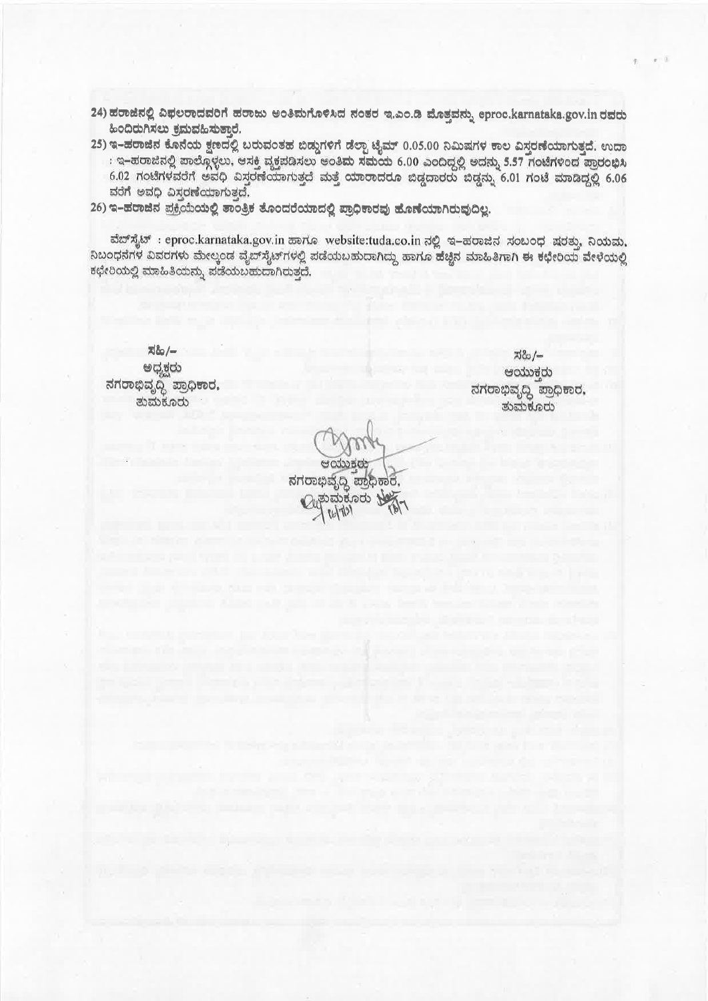- 24) ಹರಾಜಿನಲ್ಲಿ ವಿಫಲರಾದವರಿಗೆ ಹರಾಜು ಅಂತಿಮಗೊಳಿಸಿದ ನಂತರ ಇ.ಎಂ.ಡಿ ಮೊತ್ತವನ್ನು eproc.karnataka.gov.in ರವರು ಹಿಂದಿರುಗಿಸಲು ಕಮವಹಿಸುತ್ತಾರೆ.
- 25) ಇ–ಹರಾಜಿನ ಕೊನೆಯ ಕ್ಷಣದಲ್ಲಿ ಬರುವಂತಹ ಬಿಡ್ಡುಗಳಿಗೆ ಡೆಲ್ಪಾ ಟೈಮ್ 0.05.00 ನಿಮಿಷಗಳ ಕಾಲ ವಿಸ್ತರಣೆಯಾಗುತ್ತದೆ. ಉದಾ : ಇ–ಹರಾಜಿನಲ್ಲಿ ಪಾಲ್ಗೊಳ್ಳಲು, ಆಸಕ್ತಿ ವ್ಯಕ್ತಪಡಿಸಲು ಅಂತಿಮ ಸಮಯ 6.00 ಎಂದಿದ್ದಲ್ಲಿ ಅದನ್ನು 5.57 ಗಂಟೆಗಳಿಂದ ಪ್ರಾರಂಭಿಸಿ 6.02 ಗಂಟೆಗಳವರೆಗೆ ಅವಧಿ ವಿಸ್ತರಣೆಯಾಗುತ್ತದೆ ಮತ್ತೆ ಯಾರಾದರೂ ಬಿಡ್ಡದಾರರು ಬಿಡ್ಡನ್ನು 6.01 ಗಂಟೆ ಮಾಡಿದ್ದಲ್ಲಿ 6.06 ವರೆಗೆ ಅವಧಿ ವಿಸ್ತರಣೆಯಾಗುತ್ತದೆ.
- 26) ಇ-ಹರಾಜಿನ ಪ್ರಕ್ರಿಯೆಯಲ್ಲಿ ತಾಂತ್ರಿಕ ತೊಂದರೆಯಾದಲ್ಲಿ ಪ್ರಾಧಿಕಾರವು ಹೊಣೆಯಾಗಿರುವುದಿಲ್ಲ.

ವೆಬ್ ಸೈಟ್ : eproc.karnataka.gov.in ಹಾಗೂ website:tuda.co.in ನಲ್ಲಿ ಇ-ಹರಾಜಿನ ಸಂಬಂಧ ಷರತ್ತು, ನಿಯಮ, ನಿಬಂಧನೆಗಳ ವಿವರಗಳು ಮೇಲ್ಕಂಡ ವೈಬ್ ಸೈಟ್ ಗಳಲ್ಲಿ ಪಡೆಯಬಹುದಾಗಿದ್ದು ಹಾಗೂ ಹೆಚ್ಚಿನ ಮಾಹಿತಿಗಾಗಿ ಈ ಕಛೇರಿಯ ವೇಳೆಯಲ್ಲಿ ಕಛೇರಿಯಲ್ಲಿ ಮಾಹಿತಿಯನ್ನು ಪಡೆಯಬಹುದಾಗಿರುತ್ತದೆ.

지소/-ಅಧ್ಯಕ್ಷರು ನಗರಾಭಿವೃದ್ಧಿ ಪ್ರಾಧಿಕಾರ, ತುಮಕೂರು

ಸಹಿ/– ಆಯುಕ್ತರು ನಗರಾಭಿವೃದ್ಧಿ ಪ್ರಾಧಿಕಾರ, ತುಮಕೂರು

ನಗರಾಭಿವೃದ್ಧಿ ಪ್ರಾಧಿಕಾರ, ತುಮಕೂರು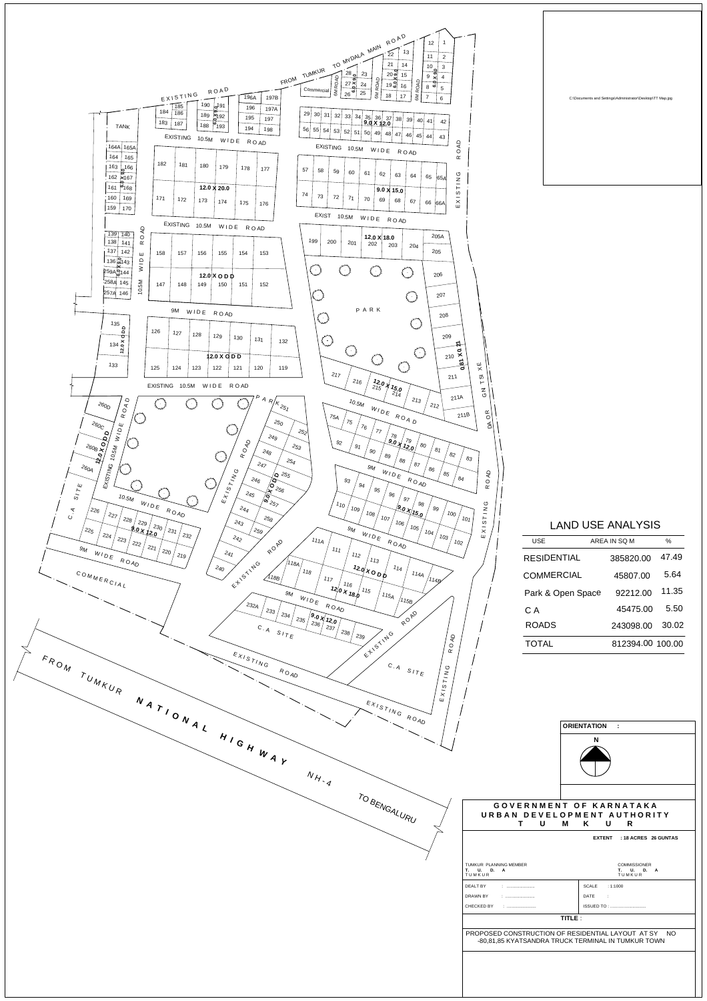| GOVERNMENT OF KARNATAKA<br>URBAN DEVELOPMENT AUTHORITY<br>$\mathsf U$<br>M K<br>U R<br>T.<br>EXTENT : 18 ACRES 26 GUNTAS<br>COMMISSIONER<br>TUMKUR PLANNING MEMBER<br>T. U. D. A<br>T. U. D. A<br>TUMKUR<br>TUMKUR<br><b>DEALT BY</b><br>SCALE : 1:1000<br>$\mathbb{C}$ -minimum<br>minimum<br>DRAWN BY<br><b>DATE</b><br>$\sim 10^{11}$<br>$\mathcal{N}_{\text{min}}$ . An an anomalous contractor<br><b>ISSUED TO: </b><br>CHECKED BY<br>$\mathbb{R}^n$ . The commutation of the set of $\mathbb{R}^n$<br>TITLE :<br>PROPOSED CONSTRUCTION OF RESIDENTIAL LAYOUT AT SY NO<br>-80,81,85 KYATSANDRA TRUCK TERMINAL IN TUMKUR TOWN | $N_{H_{-q}}$ |  |
|-----------------------------------------------------------------------------------------------------------------------------------------------------------------------------------------------------------------------------------------------------------------------------------------------------------------------------------------------------------------------------------------------------------------------------------------------------------------------------------------------------------------------------------------------------------------------------------------------------------------------------------|--------------|--|
|                                                                                                                                                                                                                                                                                                                                                                                                                                                                                                                                                                                                                                   | TO BENGALURU |  |
|                                                                                                                                                                                                                                                                                                                                                                                                                                                                                                                                                                                                                                   |              |  |
|                                                                                                                                                                                                                                                                                                                                                                                                                                                                                                                                                                                                                                   |              |  |
|                                                                                                                                                                                                                                                                                                                                                                                                                                                                                                                                                                                                                                   |              |  |
|                                                                                                                                                                                                                                                                                                                                                                                                                                                                                                                                                                                                                                   |              |  |
|                                                                                                                                                                                                                                                                                                                                                                                                                                                                                                                                                                                                                                   |              |  |
|                                                                                                                                                                                                                                                                                                                                                                                                                                                                                                                                                                                                                                   |              |  |
|                                                                                                                                                                                                                                                                                                                                                                                                                                                                                                                                                                                                                                   |              |  |
|                                                                                                                                                                                                                                                                                                                                                                                                                                                                                                                                                                                                                                   |              |  |





## LAND USE ANALYSIS

| <b>USE</b>         | AREA IN SQ M     | $\%$  |
|--------------------|------------------|-------|
| <b>RESIDENTIAL</b> | 385820.00        | 47.49 |
| <b>COMMERCIAL</b>  | 45807.00         | 5.64  |
| Park & Open Space  | 92212.00         | 11.35 |
| C A                | 45475.00         | 5.50  |
| <b>ROADS</b>       | 243098.00        | 30.02 |
| TOTAL              | 812394.00 100.00 |       |

C:\Documents and Settings\Administrator\Desktop\TT Map.jpg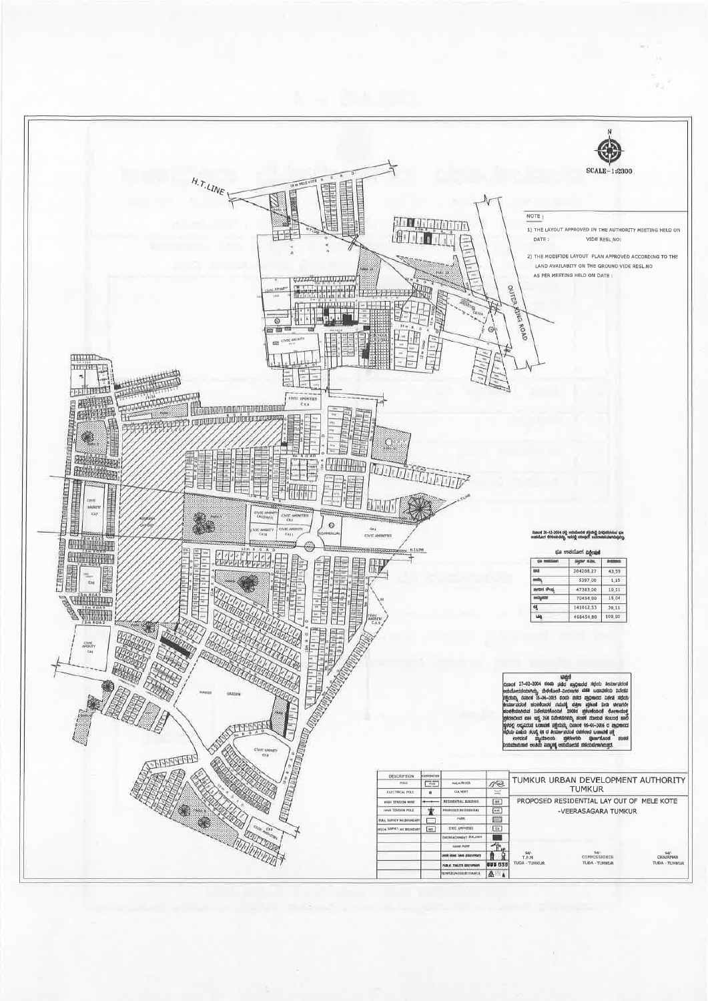